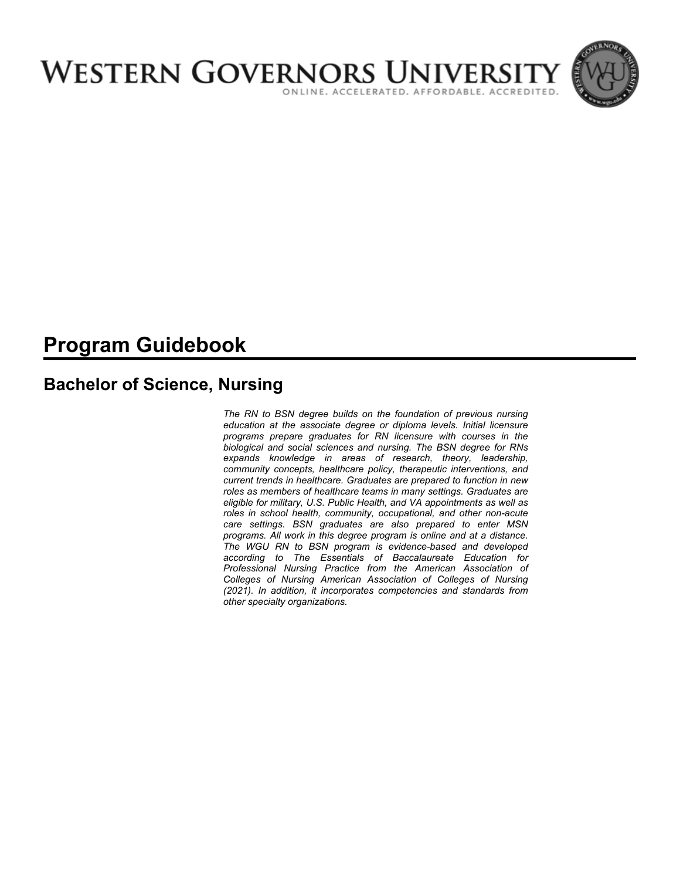

# **Program Guidebook**

# **Bachelor of Science, Nursing**

*The RN to BSN degree builds on the foundation of previous nursing education at the associate degree or diploma levels. Initial licensure programs prepare graduates for RN licensure with courses in the biological and social sciences and nursing. The BSN degree for RNs expands knowledge in areas of research, theory, leadership, community concepts, healthcare policy, therapeutic interventions, and current trends in healthcare. Graduates are prepared to function in new roles as members of healthcare teams in many settings. Graduates are eligible for military, U.S. Public Health, and VA appointments as well as roles in school health, community, occupational, and other non-acute care settings. BSN graduates are also prepared to enter MSN programs. All work in this degree program is online and at a distance. The WGU RN to BSN program is evidence-based and developed according to The Essentials of Baccalaureate Education for Professional Nursing Practice from the American Association of Colleges of Nursing American Association of Colleges of Nursing (2021). In addition, it incorporates competencies and standards from other specialty organizations.*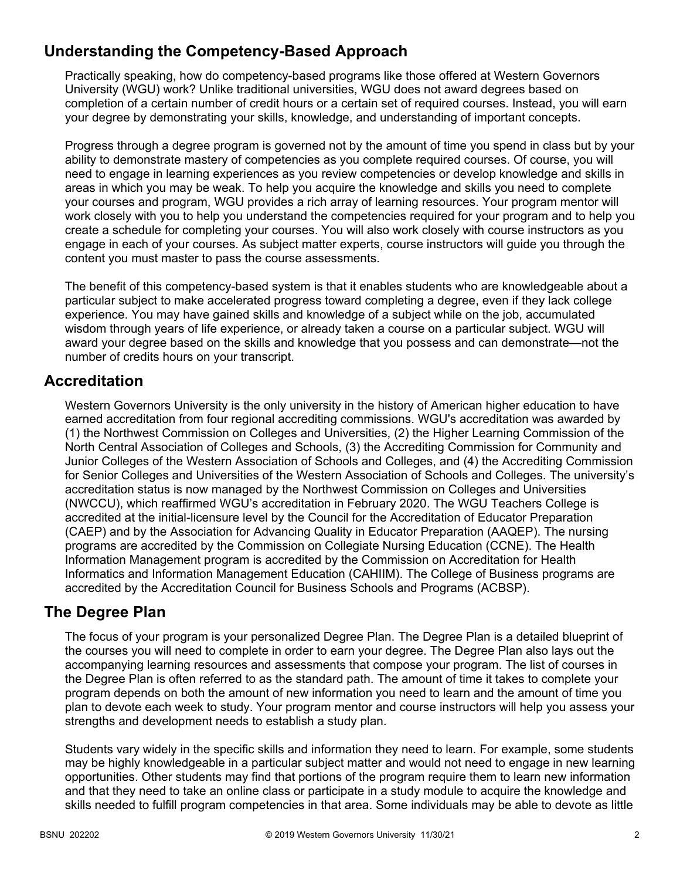# **Understanding the Competency-Based Approach**

Practically speaking, how do competency-based programs like those offered at Western Governors University (WGU) work? Unlike traditional universities, WGU does not award degrees based on completion of a certain number of credit hours or a certain set of required courses. Instead, you will earn your degree by demonstrating your skills, knowledge, and understanding of important concepts.

Progress through a degree program is governed not by the amount of time you spend in class but by your ability to demonstrate mastery of competencies as you complete required courses. Of course, you will need to engage in learning experiences as you review competencies or develop knowledge and skills in areas in which you may be weak. To help you acquire the knowledge and skills you need to complete your courses and program, WGU provides a rich array of learning resources. Your program mentor will work closely with you to help you understand the competencies required for your program and to help you create a schedule for completing your courses. You will also work closely with course instructors as you engage in each of your courses. As subject matter experts, course instructors will guide you through the content you must master to pass the course assessments.

The benefit of this competency-based system is that it enables students who are knowledgeable about a particular subject to make accelerated progress toward completing a degree, even if they lack college experience. You may have gained skills and knowledge of a subject while on the job, accumulated wisdom through years of life experience, or already taken a course on a particular subject. WGU will award your degree based on the skills and knowledge that you possess and can demonstrate—not the number of credits hours on your transcript.

# **Accreditation**

Western Governors University is the only university in the history of American higher education to have earned accreditation from four regional accrediting commissions. WGU's accreditation was awarded by (1) the Northwest Commission on Colleges and Universities, (2) the Higher Learning Commission of the North Central Association of Colleges and Schools, (3) the Accrediting Commission for Community and Junior Colleges of the Western Association of Schools and Colleges, and (4) the Accrediting Commission for Senior Colleges and Universities of the Western Association of Schools and Colleges. The university's accreditation status is now managed by the Northwest Commission on Colleges and Universities (NWCCU), which reaffirmed WGU's accreditation in February 2020. The WGU Teachers College is accredited at the initial-licensure level by the Council for the Accreditation of Educator Preparation (CAEP) and by the Association for Advancing Quality in Educator Preparation (AAQEP). The nursing programs are accredited by the Commission on Collegiate Nursing Education (CCNE). The Health Information Management program is accredited by the Commission on Accreditation for Health Informatics and Information Management Education (CAHIIM). The College of Business programs are accredited by the Accreditation Council for Business Schools and Programs (ACBSP).

# **The Degree Plan**

The focus of your program is your personalized Degree Plan. The Degree Plan is a detailed blueprint of the courses you will need to complete in order to earn your degree. The Degree Plan also lays out the accompanying learning resources and assessments that compose your program. The list of courses in the Degree Plan is often referred to as the standard path. The amount of time it takes to complete your program depends on both the amount of new information you need to learn and the amount of time you plan to devote each week to study. Your program mentor and course instructors will help you assess your strengths and development needs to establish a study plan.

Students vary widely in the specific skills and information they need to learn. For example, some students may be highly knowledgeable in a particular subject matter and would not need to engage in new learning opportunities. Other students may find that portions of the program require them to learn new information and that they need to take an online class or participate in a study module to acquire the knowledge and skills needed to fulfill program competencies in that area. Some individuals may be able to devote as little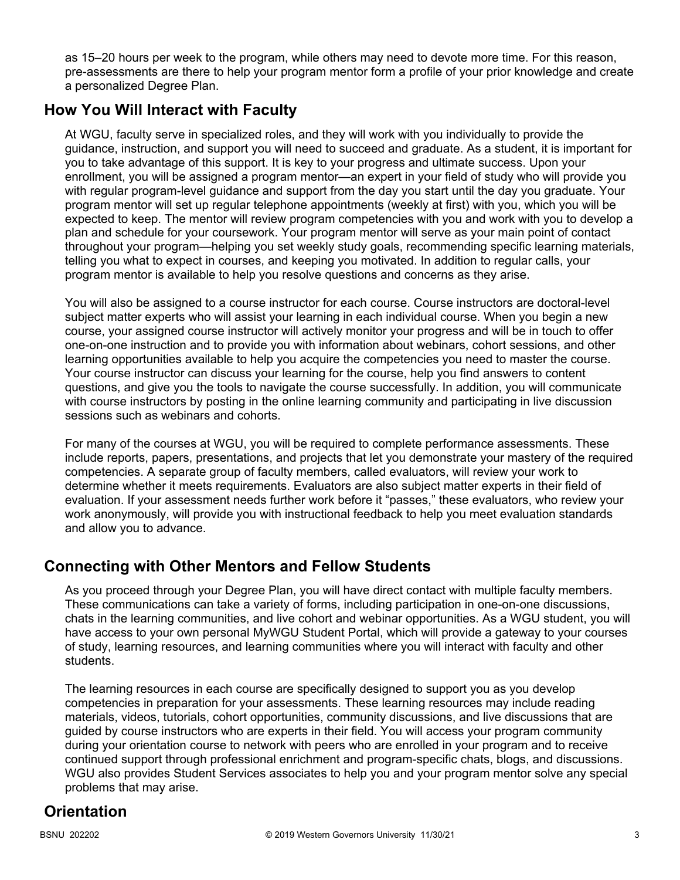as 15–20 hours per week to the program, while others may need to devote more time. For this reason, pre-assessments are there to help your program mentor form a profile of your prior knowledge and create a personalized Degree Plan.

# **How You Will Interact with Faculty**

At WGU, faculty serve in specialized roles, and they will work with you individually to provide the guidance, instruction, and support you will need to succeed and graduate. As a student, it is important for you to take advantage of this support. It is key to your progress and ultimate success. Upon your enrollment, you will be assigned a program mentor—an expert in your field of study who will provide you with regular program-level guidance and support from the day you start until the day you graduate. Your program mentor will set up regular telephone appointments (weekly at first) with you, which you will be expected to keep. The mentor will review program competencies with you and work with you to develop a plan and schedule for your coursework. Your program mentor will serve as your main point of contact throughout your program—helping you set weekly study goals, recommending specific learning materials, telling you what to expect in courses, and keeping you motivated. In addition to regular calls, your program mentor is available to help you resolve questions and concerns as they arise.

You will also be assigned to a course instructor for each course. Course instructors are doctoral-level subject matter experts who will assist your learning in each individual course. When you begin a new course, your assigned course instructor will actively monitor your progress and will be in touch to offer one-on-one instruction and to provide you with information about webinars, cohort sessions, and other learning opportunities available to help you acquire the competencies you need to master the course. Your course instructor can discuss your learning for the course, help you find answers to content questions, and give you the tools to navigate the course successfully. In addition, you will communicate with course instructors by posting in the online learning community and participating in live discussion sessions such as webinars and cohorts.

For many of the courses at WGU, you will be required to complete performance assessments. These include reports, papers, presentations, and projects that let you demonstrate your mastery of the required competencies. A separate group of faculty members, called evaluators, will review your work to determine whether it meets requirements. Evaluators are also subject matter experts in their field of evaluation. If your assessment needs further work before it "passes," these evaluators, who review your work anonymously, will provide you with instructional feedback to help you meet evaluation standards and allow you to advance.

# **Connecting with Other Mentors and Fellow Students**

As you proceed through your Degree Plan, you will have direct contact with multiple faculty members. These communications can take a variety of forms, including participation in one-on-one discussions, chats in the learning communities, and live cohort and webinar opportunities. As a WGU student, you will have access to your own personal MyWGU Student Portal, which will provide a gateway to your courses of study, learning resources, and learning communities where you will interact with faculty and other students.

The learning resources in each course are specifically designed to support you as you develop competencies in preparation for your assessments. These learning resources may include reading materials, videos, tutorials, cohort opportunities, community discussions, and live discussions that are guided by course instructors who are experts in their field. You will access your program community during your orientation course to network with peers who are enrolled in your program and to receive continued support through professional enrichment and program-specific chats, blogs, and discussions. WGU also provides Student Services associates to help you and your program mentor solve any special problems that may arise.

# **Orientation**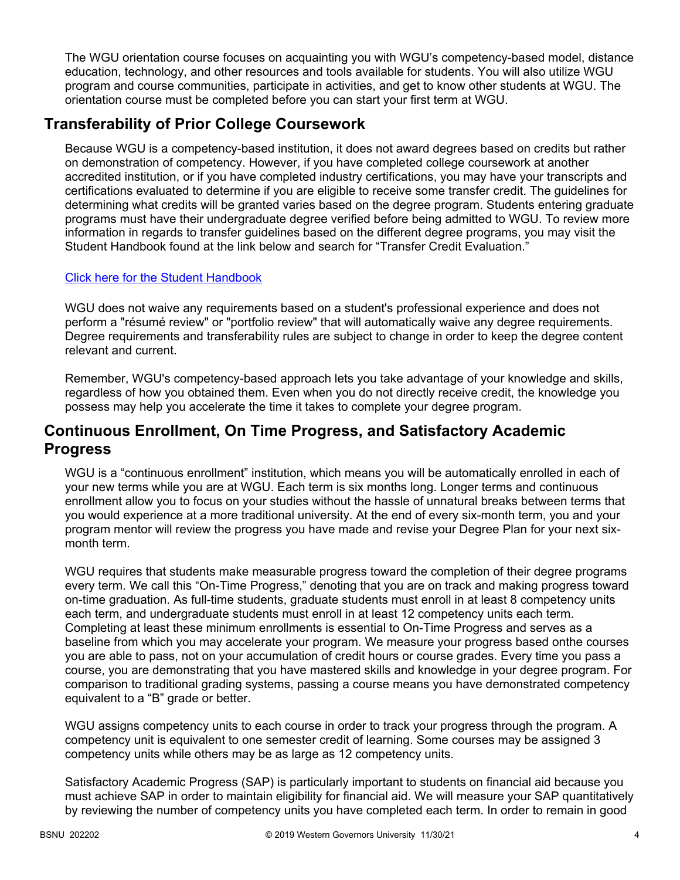The WGU orientation course focuses on acquainting you with WGU's competency-based model, distance education, technology, and other resources and tools available for students. You will also utilize WGU program and course communities, participate in activities, and get to know other students at WGU. The orientation course must be completed before you can start your first term at WGU.

# **Transferability of Prior College Coursework**

Because WGU is a competency-based institution, it does not award degrees based on credits but rather on demonstration of competency. However, if you have completed college coursework at another accredited institution, or if you have completed industry certifications, you may have your transcripts and certifications evaluated to determine if you are eligible to receive some transfer credit. The guidelines for determining what credits will be granted varies based on the degree program. Students entering graduate programs must have their undergraduate degree verified before being admitted to WGU. To review more information in regards to transfer guidelines based on the different degree programs, you may visit the Student Handbook found at the link below and search for "Transfer Credit Evaluation."

## [Click here for the Student Handbook](http://cm.wgu.edu/)

WGU does not waive any requirements based on a student's professional experience and does not perform a "résumé review" or "portfolio review" that will automatically waive any degree requirements. Degree requirements and transferability rules are subject to change in order to keep the degree content relevant and current.

Remember, WGU's competency-based approach lets you take advantage of your knowledge and skills, regardless of how you obtained them. Even when you do not directly receive credit, the knowledge you possess may help you accelerate the time it takes to complete your degree program.

# **Continuous Enrollment, On Time Progress, and Satisfactory Academic Progress**

WGU is a "continuous enrollment" institution, which means you will be automatically enrolled in each of your new terms while you are at WGU. Each term is six months long. Longer terms and continuous enrollment allow you to focus on your studies without the hassle of unnatural breaks between terms that you would experience at a more traditional university. At the end of every six-month term, you and your program mentor will review the progress you have made and revise your Degree Plan for your next sixmonth term.

WGU requires that students make measurable progress toward the completion of their degree programs every term. We call this "On-Time Progress," denoting that you are on track and making progress toward on-time graduation. As full-time students, graduate students must enroll in at least 8 competency units each term, and undergraduate students must enroll in at least 12 competency units each term. Completing at least these minimum enrollments is essential to On-Time Progress and serves as a baseline from which you may accelerate your program. We measure your progress based onthe courses you are able to pass, not on your accumulation of credit hours or course grades. Every time you pass a course, you are demonstrating that you have mastered skills and knowledge in your degree program. For comparison to traditional grading systems, passing a course means you have demonstrated competency equivalent to a "B" grade or better.

WGU assigns competency units to each course in order to track your progress through the program. A competency unit is equivalent to one semester credit of learning. Some courses may be assigned 3 competency units while others may be as large as 12 competency units.

Satisfactory Academic Progress (SAP) is particularly important to students on financial aid because you must achieve SAP in order to maintain eligibility for financial aid. We will measure your SAP quantitatively by reviewing the number of competency units you have completed each term. In order to remain in good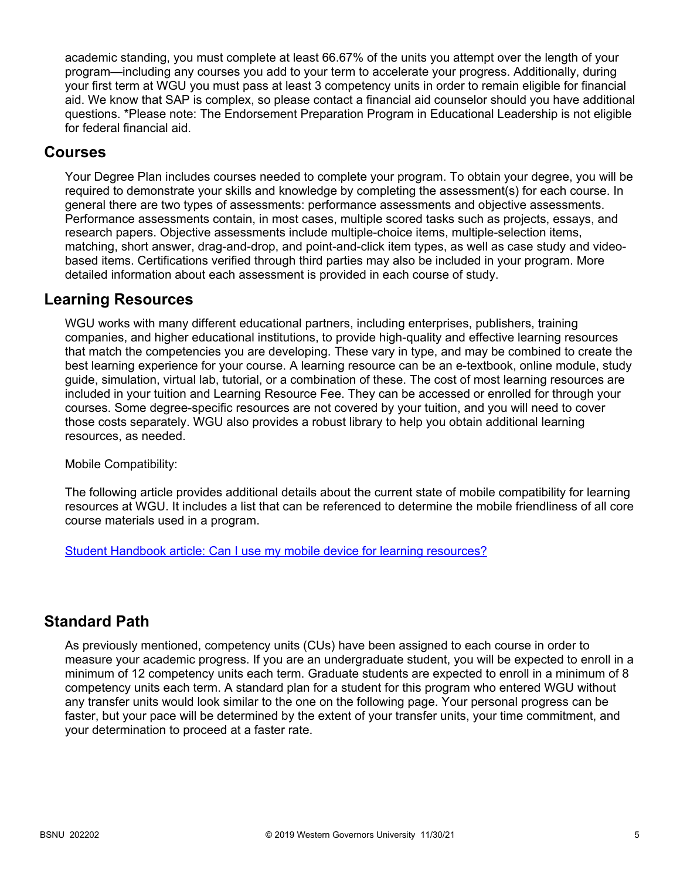academic standing, you must complete at least 66.67% of the units you attempt over the length of your program—including any courses you add to your term to accelerate your progress. Additionally, during your first term at WGU you must pass at least 3 competency units in order to remain eligible for financial aid. We know that SAP is complex, so please contact a financial aid counselor should you have additional questions. \*Please note: The Endorsement Preparation Program in Educational Leadership is not eligible for federal financial aid.

## **Courses**

Your Degree Plan includes courses needed to complete your program. To obtain your degree, you will be required to demonstrate your skills and knowledge by completing the assessment(s) for each course. In general there are two types of assessments: performance assessments and objective assessments. Performance assessments contain, in most cases, multiple scored tasks such as projects, essays, and research papers. Objective assessments include multiple-choice items, multiple-selection items, matching, short answer, drag-and-drop, and point-and-click item types, as well as case study and videobased items. Certifications verified through third parties may also be included in your program. More detailed information about each assessment is provided in each course of study.

# **Learning Resources**

WGU works with many different educational partners, including enterprises, publishers, training companies, and higher educational institutions, to provide high-quality and effective learning resources that match the competencies you are developing. These vary in type, and may be combined to create the best learning experience for your course. A learning resource can be an e-textbook, online module, study guide, simulation, virtual lab, tutorial, or a combination of these. The cost of most learning resources are included in your tuition and Learning Resource Fee. They can be accessed or enrolled for through your courses. Some degree-specific resources are not covered by your tuition, and you will need to cover those costs separately. WGU also provides a robust library to help you obtain additional learning resources, as needed.

Mobile Compatibility:

The following article provides additional details about the current state of mobile compatibility for learning resources at WGU. It includes a list that can be referenced to determine the mobile friendliness of all core course materials used in a program.

[Student Handbook article: Can I use my mobile device for learning resources?](https://cm.wgu.edu/t5/Frequently-Asked-Questions/Can-I-use-my-mobile-device-for-learning-resources/ta-p/396)

# **Standard Path**

As previously mentioned, competency units (CUs) have been assigned to each course in order to measure your academic progress. If you are an undergraduate student, you will be expected to enroll in a minimum of 12 competency units each term. Graduate students are expected to enroll in a minimum of 8 competency units each term. A standard plan for a student for this program who entered WGU without any transfer units would look similar to the one on the following page. Your personal progress can be faster, but your pace will be determined by the extent of your transfer units, your time commitment, and your determination to proceed at a faster rate.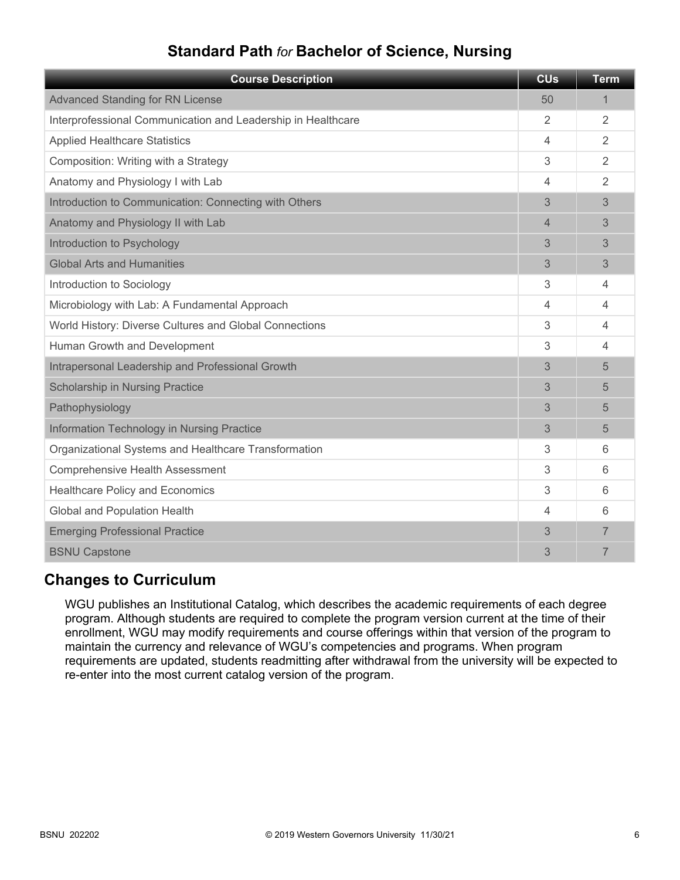# **Standard Path** *for* **Bachelor of Science, Nursing**

| <b>Course Description</b>                                    | <b>CU<sub>s</sub></b> | <b>Term</b>    |
|--------------------------------------------------------------|-----------------------|----------------|
| <b>Advanced Standing for RN License</b>                      | 50                    | $\mathbf 1$    |
| Interprofessional Communication and Leadership in Healthcare | $\mathfrak{D}$        | $\overline{2}$ |
| <b>Applied Healthcare Statistics</b>                         | 4                     | $\overline{2}$ |
| Composition: Writing with a Strategy                         | 3                     | $\overline{2}$ |
| Anatomy and Physiology I with Lab                            | $\overline{4}$        | $\overline{2}$ |
| Introduction to Communication: Connecting with Others        | 3                     | 3              |
| Anatomy and Physiology II with Lab                           | $\overline{4}$        | 3              |
| Introduction to Psychology                                   | 3                     | 3              |
| <b>Global Arts and Humanities</b>                            | 3                     | 3              |
| Introduction to Sociology                                    | 3                     | 4              |
| Microbiology with Lab: A Fundamental Approach                | 4                     | 4              |
| World History: Diverse Cultures and Global Connections       | 3                     | $\overline{4}$ |
| Human Growth and Development                                 | 3                     | 4              |
| Intrapersonal Leadership and Professional Growth             | 3                     | 5              |
| Scholarship in Nursing Practice                              | 3                     | 5              |
| Pathophysiology                                              | 3                     | 5              |
| Information Technology in Nursing Practice                   | 3                     | 5              |
| Organizational Systems and Healthcare Transformation         | 3                     | 6              |
| <b>Comprehensive Health Assessment</b>                       | 3                     | 6              |
| <b>Healthcare Policy and Economics</b>                       | 3                     | 6              |
| <b>Global and Population Health</b>                          | $\overline{4}$        | 6              |
| <b>Emerging Professional Practice</b>                        | 3                     | 7              |
| <b>BSNU Capstone</b>                                         | 3                     | 7              |

# **Changes to Curriculum**

WGU publishes an Institutional Catalog, which describes the academic requirements of each degree program. Although students are required to complete the program version current at the time of their enrollment, WGU may modify requirements and course offerings within that version of the program to maintain the currency and relevance of WGU's competencies and programs. When program requirements are updated, students readmitting after withdrawal from the university will be expected to re-enter into the most current catalog version of the program.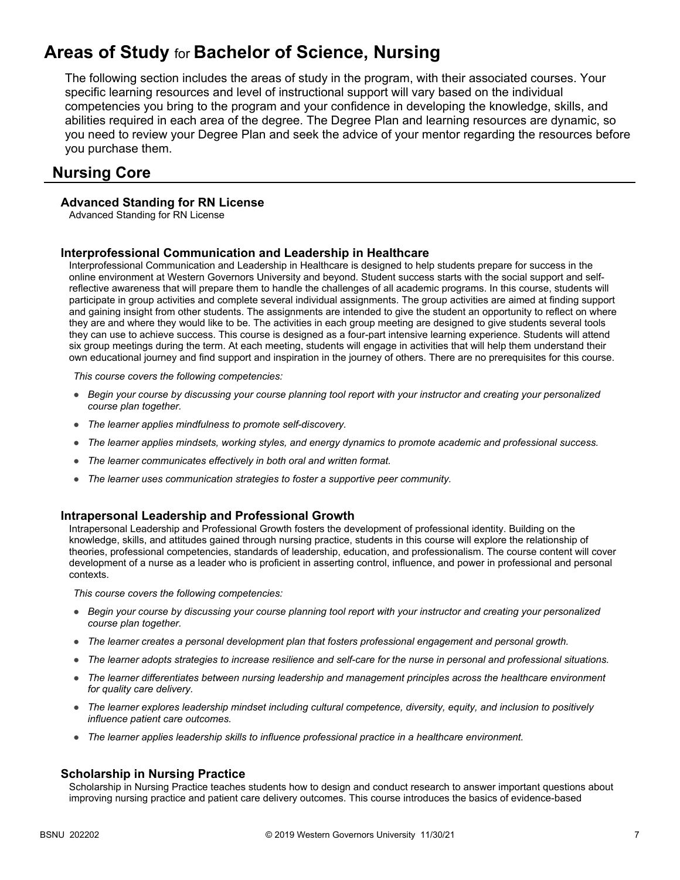# **Areas of Study** for **Bachelor of Science, Nursing**

The following section includes the areas of study in the program, with their associated courses. Your specific learning resources and level of instructional support will vary based on the individual competencies you bring to the program and your confidence in developing the knowledge, skills, and abilities required in each area of the degree. The Degree Plan and learning resources are dynamic, so you need to review your Degree Plan and seek the advice of your mentor regarding the resources before you purchase them.

## **Nursing Core**

### **Advanced Standing for RN License**

Advanced Standing for RN License

### **Interprofessional Communication and Leadership in Healthcare**

Interprofessional Communication and Leadership in Healthcare is designed to help students prepare for success in the online environment at Western Governors University and beyond. Student success starts with the social support and selfreflective awareness that will prepare them to handle the challenges of all academic programs. In this course, students will participate in group activities and complete several individual assignments. The group activities are aimed at finding support and gaining insight from other students. The assignments are intended to give the student an opportunity to reflect on where they are and where they would like to be. The activities in each group meeting are designed to give students several tools they can use to achieve success. This course is designed as a four-part intensive learning experience. Students will attend six group meetings during the term. At each meeting, students will engage in activities that will help them understand their own educational journey and find support and inspiration in the journey of others. There are no prerequisites for this course.

*This course covers the following competencies:*

- *Begin your course by discussing your course planning tool report with your instructor and creating your personalized course plan together.*
- *The learner applies mindfulness to promote self-discovery.*
- *The learner applies mindsets, working styles, and energy dynamics to promote academic and professional success.*
- *The learner communicates effectively in both oral and written format.*
- *The learner uses communication strategies to foster a supportive peer community.*

### **Intrapersonal Leadership and Professional Growth**

Intrapersonal Leadership and Professional Growth fosters the development of professional identity. Building on the knowledge, skills, and attitudes gained through nursing practice, students in this course will explore the relationship of theories, professional competencies, standards of leadership, education, and professionalism. The course content will cover development of a nurse as a leader who is proficient in asserting control, influence, and power in professional and personal contexts.

*This course covers the following competencies:*

- *Begin your course by discussing your course planning tool report with your instructor and creating your personalized course plan together.*
- *The learner creates a personal development plan that fosters professional engagement and personal growth.*
- *The learner adopts strategies to increase resilience and self-care for the nurse in personal and professional situations.*
- *The learner differentiates between nursing leadership and management principles across the healthcare environment for quality care delivery.*
- *The learner explores leadership mindset including cultural competence, diversity, equity, and inclusion to positively influence patient care outcomes.*
- *The learner applies leadership skills to influence professional practice in a healthcare environment.*

#### **Scholarship in Nursing Practice**

Scholarship in Nursing Practice teaches students how to design and conduct research to answer important questions about improving nursing practice and patient care delivery outcomes. This course introduces the basics of evidence-based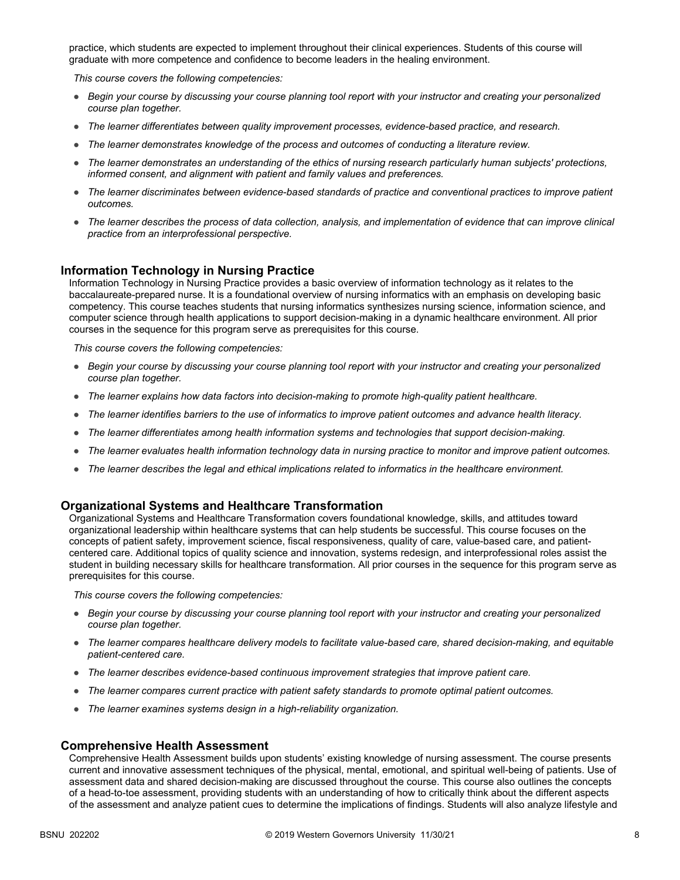practice, which students are expected to implement throughout their clinical experiences. Students of this course will graduate with more competence and confidence to become leaders in the healing environment.

*This course covers the following competencies:*

- *Begin your course by discussing your course planning tool report with your instructor and creating your personalized course plan together.*
- *The learner differentiates between quality improvement processes, evidence-based practice, and research.*
- *The learner demonstrates knowledge of the process and outcomes of conducting a literature review.*
- *The learner demonstrates an understanding of the ethics of nursing research particularly human subjects' protections, informed consent, and alignment with patient and family values and preferences.*
- *The learner discriminates between evidence-based standards of practice and conventional practices to improve patient outcomes.*
- *The learner describes the process of data collection, analysis, and implementation of evidence that can improve clinical practice from an interprofessional perspective.*

### **Information Technology in Nursing Practice**

Information Technology in Nursing Practice provides a basic overview of information technology as it relates to the baccalaureate-prepared nurse. It is a foundational overview of nursing informatics with an emphasis on developing basic competency. This course teaches students that nursing informatics synthesizes nursing science, information science, and computer science through health applications to support decision-making in a dynamic healthcare environment. All prior courses in the sequence for this program serve as prerequisites for this course.

*This course covers the following competencies:*

- *Begin your course by discussing your course planning tool report with your instructor and creating your personalized course plan together.*
- *The learner explains how data factors into decision-making to promote high-quality patient healthcare.*
- *The learner identifies barriers to the use of informatics to improve patient outcomes and advance health literacy.*
- *The learner differentiates among health information systems and technologies that support decision-making.*
- *The learner evaluates health information technology data in nursing practice to monitor and improve patient outcomes.*
- *The learner describes the legal and ethical implications related to informatics in the healthcare environment.*

#### **Organizational Systems and Healthcare Transformation**

Organizational Systems and Healthcare Transformation covers foundational knowledge, skills, and attitudes toward organizational leadership within healthcare systems that can help students be successful. This course focuses on the concepts of patient safety, improvement science, fiscal responsiveness, quality of care, value-based care, and patientcentered care. Additional topics of quality science and innovation, systems redesign, and interprofessional roles assist the student in building necessary skills for healthcare transformation. All prior courses in the sequence for this program serve as prerequisites for this course.

*This course covers the following competencies:*

- *Begin your course by discussing your course planning tool report with your instructor and creating your personalized course plan together.*
- *The learner compares healthcare delivery models to facilitate value-based care, shared decision-making, and equitable patient-centered care.*
- *The learner describes evidence-based continuous improvement strategies that improve patient care.*
- *The learner compares current practice with patient safety standards to promote optimal patient outcomes.*
- *The learner examines systems design in a high-reliability organization.*

#### **Comprehensive Health Assessment**

Comprehensive Health Assessment builds upon students' existing knowledge of nursing assessment. The course presents current and innovative assessment techniques of the physical, mental, emotional, and spiritual well-being of patients. Use of assessment data and shared decision-making are discussed throughout the course. This course also outlines the concepts of a head-to-toe assessment, providing students with an understanding of how to critically think about the different aspects of the assessment and analyze patient cues to determine the implications of findings. Students will also analyze lifestyle and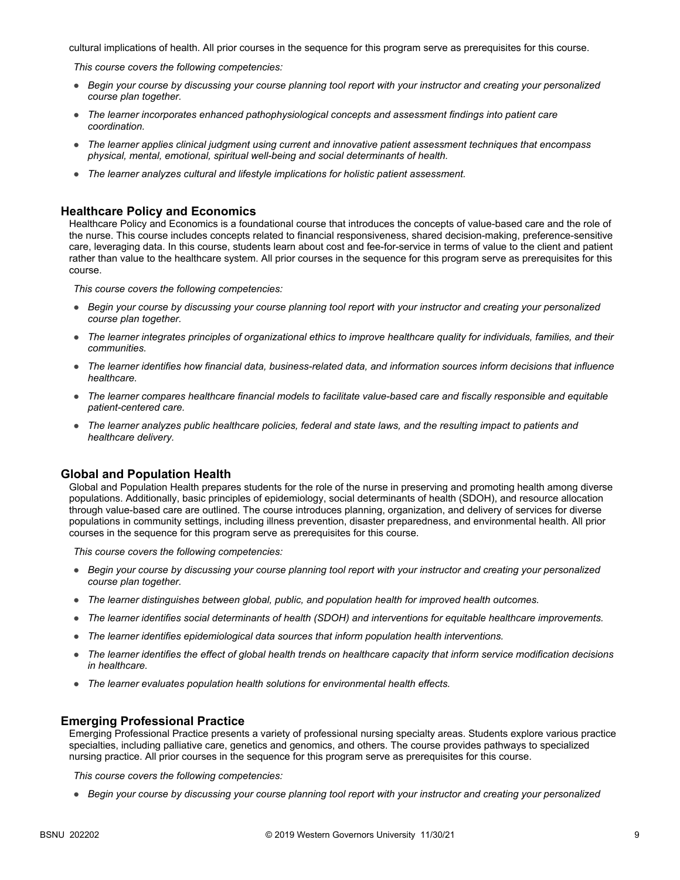cultural implications of health. All prior courses in the sequence for this program serve as prerequisites for this course.

*This course covers the following competencies:*

- *Begin your course by discussing your course planning tool report with your instructor and creating your personalized course plan together.*
- *The learner incorporates enhanced pathophysiological concepts and assessment findings into patient care coordination.*
- *The learner applies clinical judgment using current and innovative patient assessment techniques that encompass physical, mental, emotional, spiritual well-being and social determinants of health.*
- *The learner analyzes cultural and lifestyle implications for holistic patient assessment.*

### **Healthcare Policy and Economics**

Healthcare Policy and Economics is a foundational course that introduces the concepts of value-based care and the role of the nurse. This course includes concepts related to financial responsiveness, shared decision-making, preference-sensitive care, leveraging data. In this course, students learn about cost and fee-for-service in terms of value to the client and patient rather than value to the healthcare system. All prior courses in the sequence for this program serve as prerequisites for this course.

*This course covers the following competencies:*

- *Begin your course by discussing your course planning tool report with your instructor and creating your personalized course plan together.*
- *The learner integrates principles of organizational ethics to improve healthcare quality for individuals, families, and their communities.*
- *The learner identifies how financial data, business-related data, and information sources inform decisions that influence healthcare.*
- *The learner compares healthcare financial models to facilitate value-based care and fiscally responsible and equitable patient-centered care.*
- *The learner analyzes public healthcare policies, federal and state laws, and the resulting impact to patients and healthcare delivery.*

### **Global and Population Health**

Global and Population Health prepares students for the role of the nurse in preserving and promoting health among diverse populations. Additionally, basic principles of epidemiology, social determinants of health (SDOH), and resource allocation through value-based care are outlined. The course introduces planning, organization, and delivery of services for diverse populations in community settings, including illness prevention, disaster preparedness, and environmental health. All prior courses in the sequence for this program serve as prerequisites for this course.

*This course covers the following competencies:*

- *Begin your course by discussing your course planning tool report with your instructor and creating your personalized course plan together.*
- *The learner distinguishes between global, public, and population health for improved health outcomes.*
- *The learner identifies social determinants of health (SDOH) and interventions for equitable healthcare improvements.*
- *The learner identifies epidemiological data sources that inform population health interventions.*
- *The learner identifies the effect of global health trends on healthcare capacity that inform service modification decisions in healthcare.*
- *The learner evaluates population health solutions for environmental health effects.*

#### **Emerging Professional Practice**

Emerging Professional Practice presents a variety of professional nursing specialty areas. Students explore various practice specialties, including palliative care, genetics and genomics, and others. The course provides pathways to specialized nursing practice. All prior courses in the sequence for this program serve as prerequisites for this course.

*This course covers the following competencies:*

● *Begin your course by discussing your course planning tool report with your instructor and creating your personalized*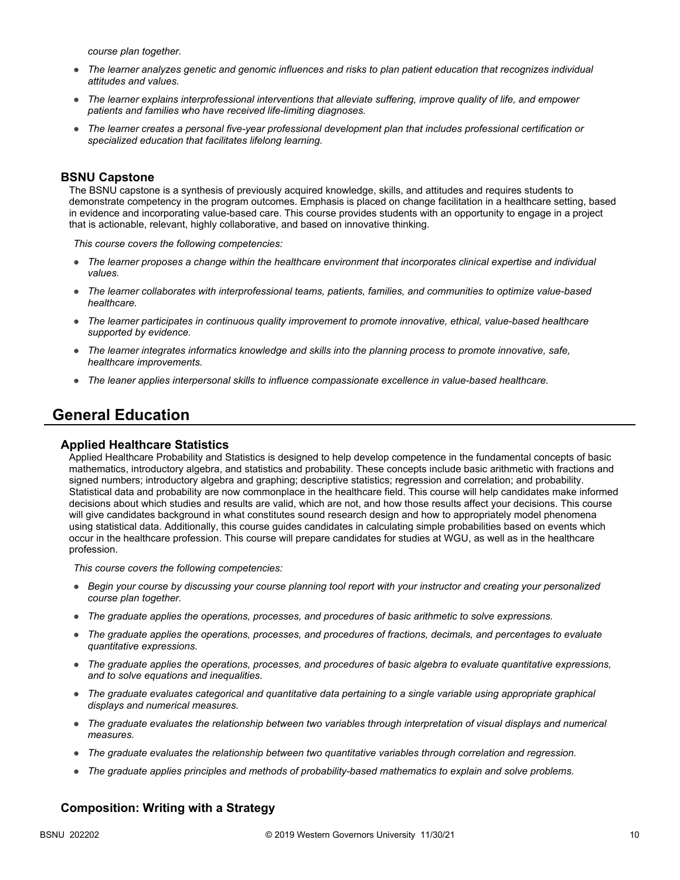*course plan together.*

- *The learner analyzes genetic and genomic influences and risks to plan patient education that recognizes individual attitudes and values.*
- *The learner explains interprofessional interventions that alleviate suffering, improve quality of life, and empower patients and families who have received life-limiting diagnoses.*
- *The learner creates a personal five-year professional development plan that includes professional certification or specialized education that facilitates lifelong learning.*

### **BSNU Capstone**

The BSNU capstone is a synthesis of previously acquired knowledge, skills, and attitudes and requires students to demonstrate competency in the program outcomes. Emphasis is placed on change facilitation in a healthcare setting, based in evidence and incorporating value-based care. This course provides students with an opportunity to engage in a project that is actionable, relevant, highly collaborative, and based on innovative thinking.

*This course covers the following competencies:*

- *The learner proposes a change within the healthcare environment that incorporates clinical expertise and individual values.*
- *The learner collaborates with interprofessional teams, patients, families, and communities to optimize value-based healthcare.*
- *The learner participates in continuous quality improvement to promote innovative, ethical, value-based healthcare supported by evidence.*
- *The learner integrates informatics knowledge and skills into the planning process to promote innovative, safe, healthcare improvements.*
- *The leaner applies interpersonal skills to influence compassionate excellence in value-based healthcare.*

## **General Education**

### **Applied Healthcare Statistics**

Applied Healthcare Probability and Statistics is designed to help develop competence in the fundamental concepts of basic mathematics, introductory algebra, and statistics and probability. These concepts include basic arithmetic with fractions and signed numbers; introductory algebra and graphing; descriptive statistics; regression and correlation; and probability. Statistical data and probability are now commonplace in the healthcare field. This course will help candidates make informed decisions about which studies and results are valid, which are not, and how those results affect your decisions. This course will give candidates background in what constitutes sound research design and how to appropriately model phenomena using statistical data. Additionally, this course guides candidates in calculating simple probabilities based on events which occur in the healthcare profession. This course will prepare candidates for studies at WGU, as well as in the healthcare profession.

*This course covers the following competencies:*

- *Begin your course by discussing your course planning tool report with your instructor and creating your personalized course plan together.*
- *The graduate applies the operations, processes, and procedures of basic arithmetic to solve expressions.*
- *The graduate applies the operations, processes, and procedures of fractions, decimals, and percentages to evaluate quantitative expressions.*
- *The graduate applies the operations, processes, and procedures of basic algebra to evaluate quantitative expressions, and to solve equations and inequalities.*
- *The graduate evaluates categorical and quantitative data pertaining to a single variable using appropriate graphical displays and numerical measures.*
- *The graduate evaluates the relationship between two variables through interpretation of visual displays and numerical measures.*
- *The graduate evaluates the relationship between two quantitative variables through correlation and regression.*
- *The graduate applies principles and methods of probability-based mathematics to explain and solve problems.*

### **Composition: Writing with a Strategy**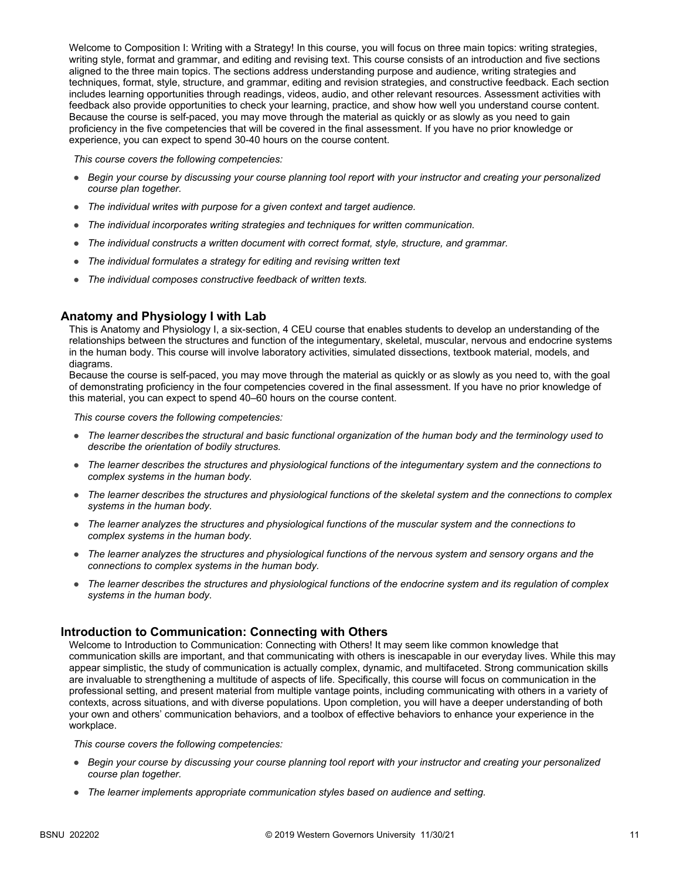Welcome to Composition I: Writing with a Strategy! In this course, you will focus on three main topics: writing strategies, writing style, format and grammar, and editing and revising text. This course consists of an introduction and five sections aligned to the three main topics. The sections address understanding purpose and audience, writing strategies and techniques, format, style, structure, and grammar, editing and revision strategies, and constructive feedback. Each section includes learning opportunities through readings, videos, audio, and other relevant resources. Assessment activities with feedback also provide opportunities to check your learning, practice, and show how well you understand course content. Because the course is self-paced, you may move through the material as quickly or as slowly as you need to gain proficiency in the five competencies that will be covered in the final assessment. If you have no prior knowledge or experience, you can expect to spend 30-40 hours on the course content.

*This course covers the following competencies:*

- *Begin your course by discussing your course planning tool report with your instructor and creating your personalized course plan together.*
- *The individual writes with purpose for a given context and target audience.*
- *The individual incorporates writing strategies and techniques for written communication.*
- *The individual constructs a written document with correct format, style, structure, and grammar.*
- *The individual formulates a strategy for editing and revising written text*
- *The individual composes constructive feedback of written texts.*

### **Anatomy and Physiology I with Lab**

This is Anatomy and Physiology I, a six-section, 4 CEU course that enables students to develop an understanding of the relationships between the structures and function of the integumentary, skeletal, muscular, nervous and endocrine systems in the human body. This course will involve laboratory activities, simulated dissections, textbook material, models, and diagrams.

Because the course is self-paced, you may move through the material as quickly or as slowly as you need to, with the goal of demonstrating proficiency in the four competencies covered in the final assessment. If you have no prior knowledge of this material, you can expect to spend 40–60 hours on the course content.

*This course covers the following competencies:*

- *The learner describes the structural and basic functional organization of the human body and the terminology used to describe the orientation of bodily structures.*
- *The learner describes the structures and physiological functions of the integumentary system and the connections to complex systems in the human body.*
- *The learner describes the structures and physiological functions of the skeletal system and the connections to complex systems in the human body.*
- *The learner analyzes the structures and physiological functions of the muscular system and the connections to complex systems in the human body.*
- *The learner analyzes the structures and physiological functions of the nervous system and sensory organs and the connections to complex systems in the human body.*
- *The learner describes the structures and physiological functions of the endocrine system and its regulation of complex systems in the human body.*

### **Introduction to Communication: Connecting with Others**

Welcome to Introduction to Communication: Connecting with Others! It may seem like common knowledge that communication skills are important, and that communicating with others is inescapable in our everyday lives. While this may appear simplistic, the study of communication is actually complex, dynamic, and multifaceted. Strong communication skills are invaluable to strengthening a multitude of aspects of life. Specifically, this course will focus on communication in the professional setting, and present material from multiple vantage points, including communicating with others in a variety of contexts, across situations, and with diverse populations. Upon completion, you will have a deeper understanding of both your own and others' communication behaviors, and a toolbox of effective behaviors to enhance your experience in the workplace.

- *Begin your course by discussing your course planning tool report with your instructor and creating your personalized course plan together.*
- *The learner implements appropriate communication styles based on audience and setting.*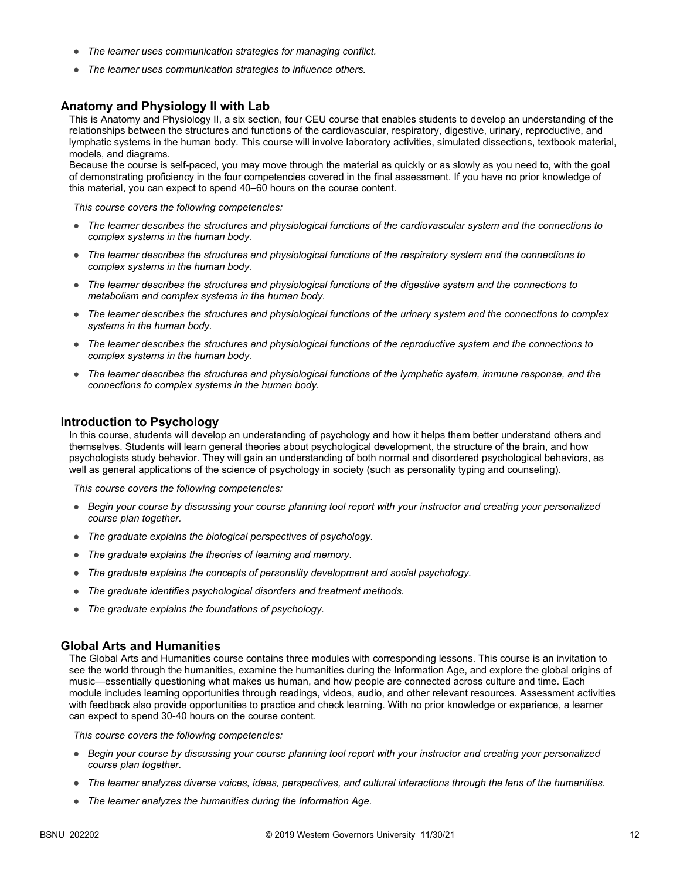- *The learner uses communication strategies for managing conflict.*
- *The learner uses communication strategies to influence others.*

### **Anatomy and Physiology II with Lab**

This is Anatomy and Physiology II, a six section, four CEU course that enables students to develop an understanding of the relationships between the structures and functions of the cardiovascular, respiratory, digestive, urinary, reproductive, and lymphatic systems in the human body. This course will involve laboratory activities, simulated dissections, textbook material, models, and diagrams.

Because the course is self-paced, you may move through the material as quickly or as slowly as you need to, with the goal of demonstrating proficiency in the four competencies covered in the final assessment. If you have no prior knowledge of this material, you can expect to spend 40–60 hours on the course content.

*This course covers the following competencies:*

- *The learner describes the structures and physiological functions of the cardiovascular system and the connections to complex systems in the human body.*
- *The learner describes the structures and physiological functions of the respiratory system and the connections to complex systems in the human body.*
- *The learner describes the structures and physiological functions of the digestive system and the connections to metabolism and complex systems in the human body.*
- *The learner describes the structures and physiological functions of the urinary system and the connections to complex systems in the human body.*
- *The learner describes the structures and physiological functions of the reproductive system and the connections to complex systems in the human body.*
- *The learner describes the structures and physiological functions of the lymphatic system, immune response, and the connections to complex systems in the human body.*

#### **Introduction to Psychology**

In this course, students will develop an understanding of psychology and how it helps them better understand others and themselves. Students will learn general theories about psychological development, the structure of the brain, and how psychologists study behavior. They will gain an understanding of both normal and disordered psychological behaviors, as well as general applications of the science of psychology in society (such as personality typing and counseling).

*This course covers the following competencies:*

- *Begin your course by discussing your course planning tool report with your instructor and creating your personalized course plan together.*
- *The graduate explains the biological perspectives of psychology.*
- *The graduate explains the theories of learning and memory.*
- *The graduate explains the concepts of personality development and social psychology.*
- *The graduate identifies psychological disorders and treatment methods.*
- *The graduate explains the foundations of psychology.*

#### **Global Arts and Humanities**

The Global Arts and Humanities course contains three modules with corresponding lessons. This course is an invitation to see the world through the humanities, examine the humanities during the Information Age, and explore the global origins of music—essentially questioning what makes us human, and how people are connected across culture and time. Each module includes learning opportunities through readings, videos, audio, and other relevant resources. Assessment activities with feedback also provide opportunities to practice and check learning. With no prior knowledge or experience, a learner can expect to spend 30-40 hours on the course content.

- *Begin your course by discussing your course planning tool report with your instructor and creating your personalized course plan together.*
- *The learner analyzes diverse voices, ideas, perspectives, and cultural interactions through the lens of the humanities.*
- *The learner analyzes the humanities during the Information Age.*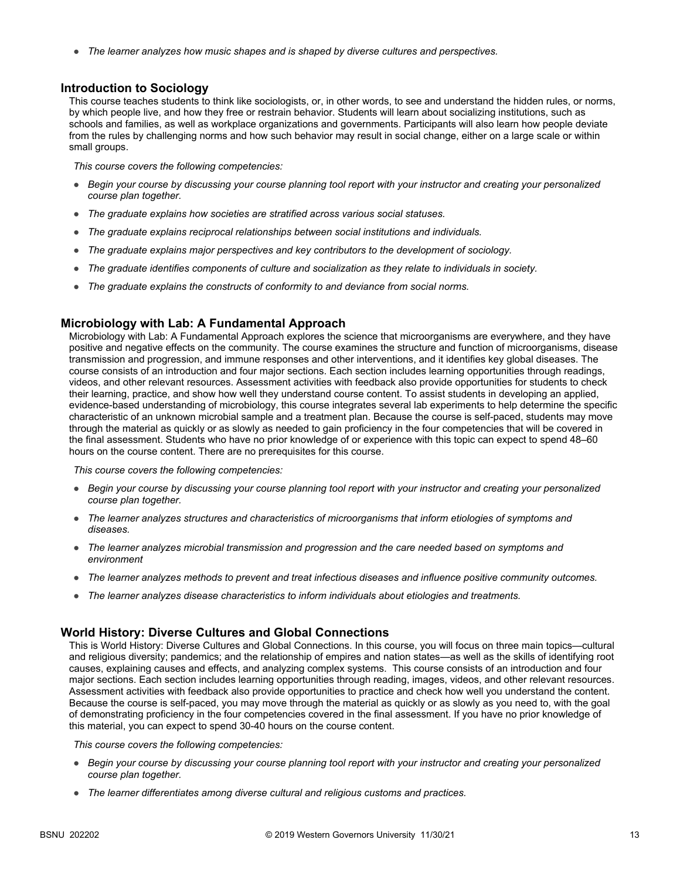● *The learner analyzes how music shapes and is shaped by diverse cultures and perspectives.*

### **Introduction to Sociology**

This course teaches students to think like sociologists, or, in other words, to see and understand the hidden rules, or norms, by which people live, and how they free or restrain behavior. Students will learn about socializing institutions, such as schools and families, as well as workplace organizations and governments. Participants will also learn how people deviate from the rules by challenging norms and how such behavior may result in social change, either on a large scale or within small groups.

*This course covers the following competencies:*

- *Begin your course by discussing your course planning tool report with your instructor and creating your personalized course plan together.*
- *The graduate explains how societies are stratified across various social statuses.*
- *The graduate explains reciprocal relationships between social institutions and individuals.*
- *The graduate explains major perspectives and key contributors to the development of sociology.*
- *The graduate identifies components of culture and socialization as they relate to individuals in society.*
- *The graduate explains the constructs of conformity to and deviance from social norms.*

### **Microbiology with Lab: A Fundamental Approach**

Microbiology with Lab: A Fundamental Approach explores the science that microorganisms are everywhere, and they have positive and negative effects on the community. The course examines the structure and function of microorganisms, disease transmission and progression, and immune responses and other interventions, and it identifies key global diseases. The course consists of an introduction and four major sections. Each section includes learning opportunities through readings, videos, and other relevant resources. Assessment activities with feedback also provide opportunities for students to check their learning, practice, and show how well they understand course content. To assist students in developing an applied, evidence-based understanding of microbiology, this course integrates several lab experiments to help determine the specific characteristic of an unknown microbial sample and a treatment plan. Because the course is self-paced, students may move through the material as quickly or as slowly as needed to gain proficiency in the four competencies that will be covered in the final assessment. Students who have no prior knowledge of or experience with this topic can expect to spend 48–60 hours on the course content. There are no prerequisites for this course.

*This course covers the following competencies:*

- *Begin your course by discussing your course planning tool report with your instructor and creating your personalized course plan together.*
- *The learner analyzes structures and characteristics of microorganisms that inform etiologies of symptoms and diseases.*
- *The learner analyzes microbial transmission and progression and the care needed based on symptoms and environment*
- *The learner analyzes methods to prevent and treat infectious diseases and influence positive community outcomes.*
- The learner analyzes disease characteristics to inform individuals about etiologies and treatments.

### **World History: Diverse Cultures and Global Connections**

This is World History: Diverse Cultures and Global Connections. In this course, you will focus on three main topics—cultural and religious diversity; pandemics; and the relationship of empires and nation states—as well as the skills of identifying root causes, explaining causes and effects, and analyzing complex systems. This course consists of an introduction and four major sections. Each section includes learning opportunities through reading, images, videos, and other relevant resources. Assessment activities with feedback also provide opportunities to practice and check how well you understand the content. Because the course is self-paced, you may move through the material as quickly or as slowly as you need to, with the goal of demonstrating proficiency in the four competencies covered in the final assessment. If you have no prior knowledge of this material, you can expect to spend 30-40 hours on the course content.

- *Begin your course by discussing your course planning tool report with your instructor and creating your personalized course plan together.*
- *The learner differentiates among diverse cultural and religious customs and practices.*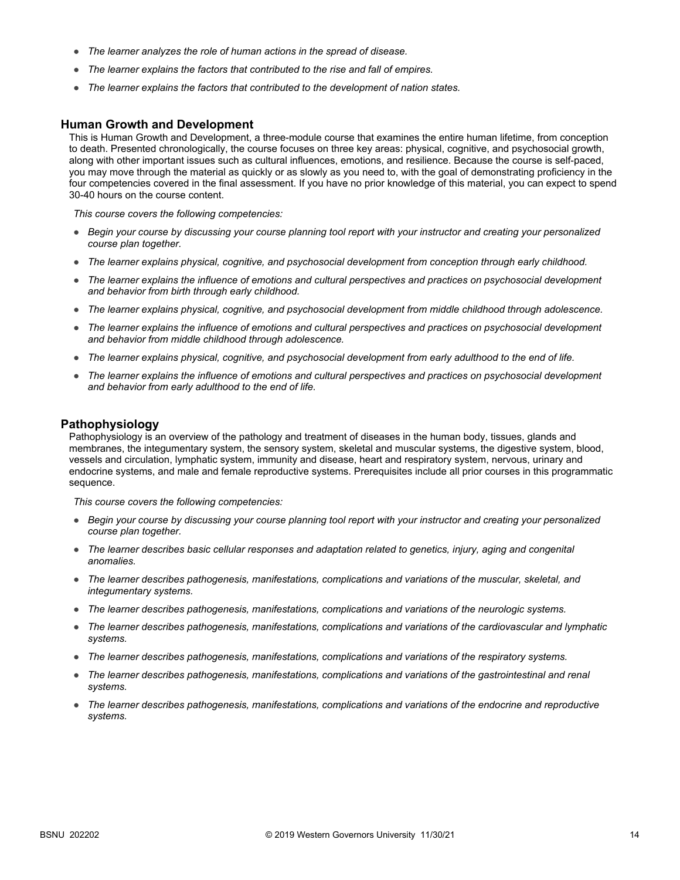- *The learner analyzes the role of human actions in the spread of disease.*
- *The learner explains the factors that contributed to the rise and fall of empires.*
- *The learner explains the factors that contributed to the development of nation states.*

#### **Human Growth and Development**

This is Human Growth and Development, a three-module course that examines the entire human lifetime, from conception to death. Presented chronologically, the course focuses on three key areas: physical, cognitive, and psychosocial growth, along with other important issues such as cultural influences, emotions, and resilience. Because the course is self-paced, you may move through the material as quickly or as slowly as you need to, with the goal of demonstrating proficiency in the four competencies covered in the final assessment. If you have no prior knowledge of this material, you can expect to spend 30-40 hours on the course content.

*This course covers the following competencies:*

- *Begin your course by discussing your course planning tool report with your instructor and creating your personalized course plan together.*
- *The learner explains physical, cognitive, and psychosocial development from conception through early childhood.*
- *The learner explains the influence of emotions and cultural perspectives and practices on psychosocial development and behavior from birth through early childhood.*
- *The learner explains physical, cognitive, and psychosocial development from middle childhood through adolescence.*
- *The learner explains the influence of emotions and cultural perspectives and practices on psychosocial development and behavior from middle childhood through adolescence.*
- *The learner explains physical, cognitive, and psychosocial development from early adulthood to the end of life.*
- *The learner explains the influence of emotions and cultural perspectives and practices on psychosocial development and behavior from early adulthood to the end of life.*

### **Pathophysiology**

Pathophysiology is an overview of the pathology and treatment of diseases in the human body, tissues, glands and membranes, the integumentary system, the sensory system, skeletal and muscular systems, the digestive system, blood, vessels and circulation, lymphatic system, immunity and disease, heart and respiratory system, nervous, urinary and endocrine systems, and male and female reproductive systems. Prerequisites include all prior courses in this programmatic sequence.

- *Begin your course by discussing your course planning tool report with your instructor and creating your personalized course plan together.*
- *The learner describes basic cellular responses and adaptation related to genetics, injury, aging and congenital anomalies.*
- *The learner describes pathogenesis, manifestations, complications and variations of the muscular, skeletal, and integumentary systems.*
- *The learner describes pathogenesis, manifestations, complications and variations of the neurologic systems.*
- *The learner describes pathogenesis, manifestations, complications and variations of the cardiovascular and lymphatic systems.*
- *The learner describes pathogenesis, manifestations, complications and variations of the respiratory systems.*
- *The learner describes pathogenesis, manifestations, complications and variations of the gastrointestinal and renal systems.*
- *The learner describes pathogenesis, manifestations, complications and variations of the endocrine and reproductive systems.*